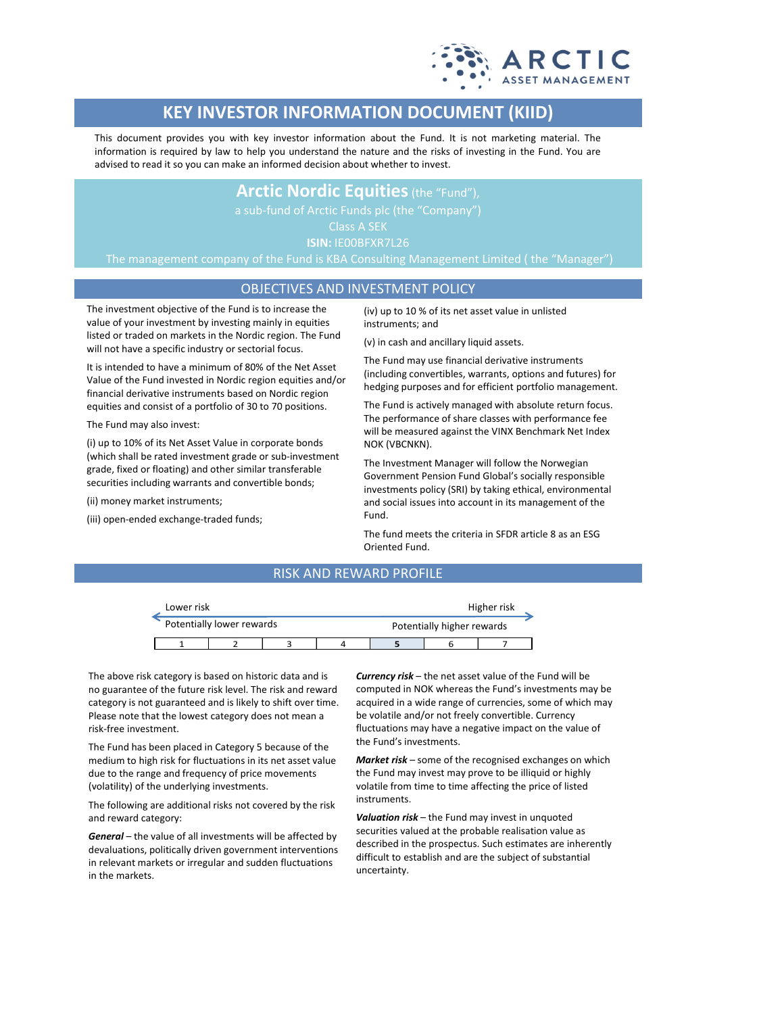

# **KEY INVESTOR INFORMATION DOCUMENT (KIID)**

This document provides you with key investor information about the Fund. It is not marketing material. The information is required by law to help you understand the nature and the risks of investing in the Fund. You are advised to read it so you can make an informed decision about whether to invest.

## **Arctic Nordic Equities** (the "Fund"),

Class A SEK

**ISIN:** IE00BFXR7L26

The management company of the Fund is KBA Consulting Management Limited ( the "Manager")

### OBJECTIVES AND INVESTMENT POLICY

The investment objective of the Fund is to increase the value of your investment by investing mainly in equities listed or traded on markets in the Nordic region. The Fund will not have a specific industry or sectorial focus.

It is intended to have a minimum of 80% of the Net Asset Value of the Fund invested in Nordic region equities and/or financial derivative instruments based on Nordic region equities and consist of a portfolio of 30 to 70 positions.

The Fund may also invest:

(i) up to 10% of its Net Asset Value in corporate bonds (which shall be rated investment grade or sub-investment grade, fixed or floating) and other similar transferable securities including warrants and convertible bonds;

(ii) money market instruments;

(iii) open-ended exchange-traded funds;

(iv) up to 10 % of its net asset value in unlisted instruments; and

(v) in cash and ancillary liquid assets.

The Fund may use financial derivative instruments (including convertibles, warrants, options and futures) for hedging purposes and for efficient portfolio management.

The Fund is actively managed with absolute return focus. The performance of share classes with performance fee will be measured against the VINX Benchmark Net Index NOK (VBCNKN).

The Investment Manager will follow the Norwegian Government Pension Fund Global's socially responsible investments policy (SRI) by taking ethical, environmental and social issues into account in its management of the Fund.

The fund meets the criteria in SFDR article 8 as an ESG Oriented Fund.

## RISK AND REWARD PROFILE

| Lower risk                |  |  |                            | Higher risk |  |  |  |
|---------------------------|--|--|----------------------------|-------------|--|--|--|
| Potentially lower rewards |  |  | Potentially higher rewards |             |  |  |  |
|                           |  |  |                            |             |  |  |  |

The above risk category is based on historic data and is no guarantee of the future risk level. The risk and reward category is not guaranteed and is likely to shift over time. Please note that the lowest category does not mean a risk-free investment.

The Fund has been placed in Category 5 because of the medium to high risk for fluctuations in its net asset value due to the range and frequency of price movements (volatility) of the underlying investments.

The following are additional risks not covered by the risk and reward category:

*General* – the value of all investments will be affected by devaluations, politically driven government interventions in relevant markets or irregular and sudden fluctuations in the markets.

*Currency risk* – the net asset value of the Fund will be computed in NOK whereas the Fund's investments may be acquired in a wide range of currencies, some of which may be volatile and/or not freely convertible. Currency fluctuations may have a negative impact on the value of the Fund's investments.

*Market risk* – some of the recognised exchanges on which the Fund may invest may prove to be illiquid or highly volatile from time to time affecting the price of listed instruments.

*Valuation risk* – the Fund may invest in unquoted securities valued at the probable realisation value as described in the prospectus. Such estimates are inherently difficult to establish and are the subject of substantial uncertainty.